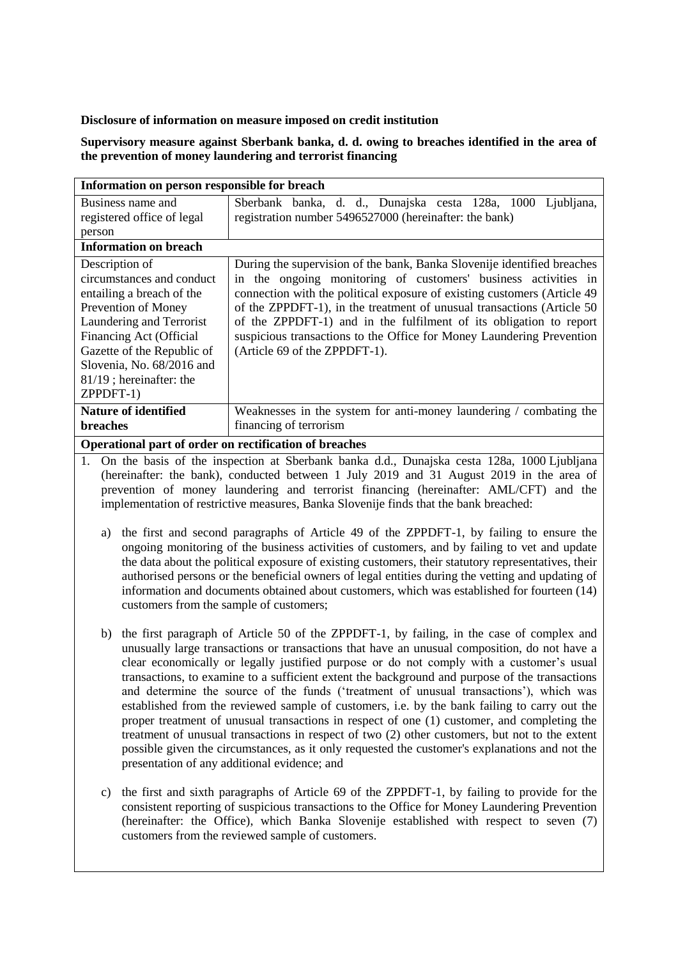## **Disclosure of information on measure imposed on credit institution**

## **Supervisory measure against Sberbank banka, d. d. owing to breaches identified in the area of the prevention of money laundering and terrorist financing**

| Information on person responsible for breach           |                                                                           |
|--------------------------------------------------------|---------------------------------------------------------------------------|
| Business name and                                      | Sberbank banka, d. d., Dunajska cesta 128a, 1000<br>Ljubljana,            |
| registered office of legal                             | registration number 5496527000 (hereinafter: the bank)                    |
| person                                                 |                                                                           |
| <b>Information on breach</b>                           |                                                                           |
| Description of                                         | During the supervision of the bank, Banka Slovenije identified breaches   |
| circumstances and conduct                              | in the ongoing monitoring of customers' business activities in            |
| entailing a breach of the                              | connection with the political exposure of existing customers (Article 49) |
| Prevention of Money                                    | of the ZPPDFT-1), in the treatment of unusual transactions (Article 50)   |
| Laundering and Terrorist                               | of the ZPPDFT-1) and in the fulfilment of its obligation to report        |
| Financing Act (Official                                | suspicious transactions to the Office for Money Laundering Prevention     |
| Gazette of the Republic of                             | (Article 69 of the ZPPDFT-1).                                             |
| Slovenia, No. 68/2016 and                              |                                                                           |
| $81/19$ ; hereinafter: the                             |                                                                           |
| ZPPDFT-1)                                              |                                                                           |
| <b>Nature of identified</b>                            | Weaknesses in the system for anti-money laundering / combating the        |
| <b>breaches</b>                                        | financing of terrorism                                                    |
| Operational part of order on rectification of breaches |                                                                           |

- **Operational part of order on rectification of breaches**
- 1. On the basis of the inspection at Sberbank banka d.d., Dunajska cesta 128a, 1000 Ljubljana (hereinafter: the bank), conducted between 1 July 2019 and 31 August 2019 in the area of prevention of money laundering and terrorist financing (hereinafter: AML/CFT) and the implementation of restrictive measures, Banka Slovenije finds that the bank breached:
	- a) the first and second paragraphs of Article 49 of the ZPPDFT-1, by failing to ensure the ongoing monitoring of the business activities of customers, and by failing to vet and update the data about the political exposure of existing customers, their statutory representatives, their authorised persons or the beneficial owners of legal entities during the vetting and updating of information and documents obtained about customers, which was established for fourteen (14) customers from the sample of customers;
	- b) the first paragraph of Article 50 of the ZPPDFT-1, by failing, in the case of complex and unusually large transactions or transactions that have an unusual composition, do not have a clear economically or legally justified purpose or do not comply with a customer's usual transactions, to examine to a sufficient extent the background and purpose of the transactions and determine the source of the funds ('treatment of unusual transactions'), which was established from the reviewed sample of customers, i.e. by the bank failing to carry out the proper treatment of unusual transactions in respect of one (1) customer, and completing the treatment of unusual transactions in respect of two (2) other customers, but not to the extent possible given the circumstances, as it only requested the customer's explanations and not the presentation of any additional evidence; and
	- c) the first and sixth paragraphs of Article 69 of the ZPPDFT-1, by failing to provide for the consistent reporting of suspicious transactions to the Office for Money Laundering Prevention (hereinafter: the Office), which Banka Slovenije established with respect to seven (7) customers from the reviewed sample of customers.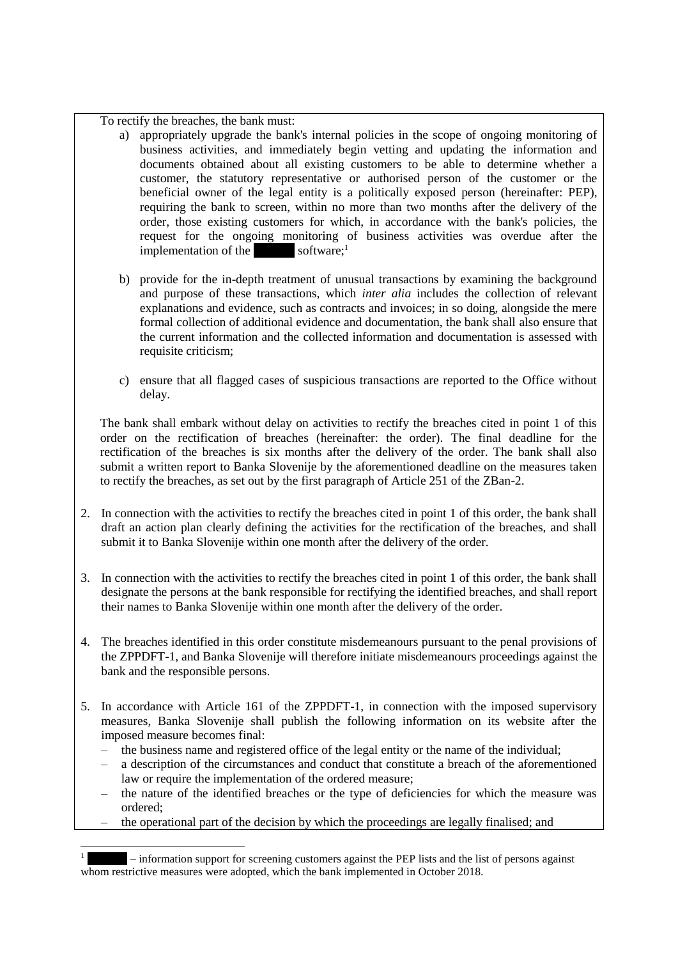To rectify the breaches, the bank must:

- a) appropriately upgrade the bank's internal policies in the scope of ongoing monitoring of business activities, and immediately begin vetting and updating the information and documents obtained about all existing customers to be able to determine whether a customer, the statutory representative or authorised person of the customer or the beneficial owner of the legal entity is a politically exposed person (hereinafter: PEP), requiring the bank to screen, within no more than two months after the delivery of the order, those existing customers for which, in accordance with the bank's policies, the request for the ongoing monitoring of business activities was overdue after the implementation of the  $\sim$  software;<sup>1</sup>
- b) provide for the in-depth treatment of unusual transactions by examining the background and purpose of these transactions, which *inter alia* includes the collection of relevant explanations and evidence, such as contracts and invoices; in so doing, alongside the mere formal collection of additional evidence and documentation, the bank shall also ensure that the current information and the collected information and documentation is assessed with requisite criticism;
- c) ensure that all flagged cases of suspicious transactions are reported to the Office without delay.

The bank shall embark without delay on activities to rectify the breaches cited in point 1 of this order on the rectification of breaches (hereinafter: the order). The final deadline for the rectification of the breaches is six months after the delivery of the order. The bank shall also submit a written report to Banka Slovenije by the aforementioned deadline on the measures taken to rectify the breaches, as set out by the first paragraph of Article 251 of the ZBan-2.

- 2. In connection with the activities to rectify the breaches cited in point 1 of this order, the bank shall draft an action plan clearly defining the activities for the rectification of the breaches, and shall submit it to Banka Slovenije within one month after the delivery of the order.
- 3. In connection with the activities to rectify the breaches cited in point 1 of this order, the bank shall designate the persons at the bank responsible for rectifying the identified breaches, and shall report their names to Banka Slovenije within one month after the delivery of the order.
- 4. The breaches identified in this order constitute misdemeanours pursuant to the penal provisions of the ZPPDFT-1, and Banka Slovenije will therefore initiate misdemeanours proceedings against the bank and the responsible persons.
- 5. In accordance with Article 161 of the ZPPDFT-1, in connection with the imposed supervisory measures, Banka Slovenije shall publish the following information on its website after the imposed measure becomes final:
	- the business name and registered office of the legal entity or the name of the individual;
	- a description of the circumstances and conduct that constitute a breach of the aforementioned law or require the implementation of the ordered measure;
	- the nature of the identified breaches or the type of deficiencies for which the measure was ordered;
	- the operational part of the decision by which the proceedings are legally finalised; and

l

 $-$  information support for screening customers against the PEP lists and the list of persons against whom restrictive measures were adopted, which the bank implemented in October 2018.